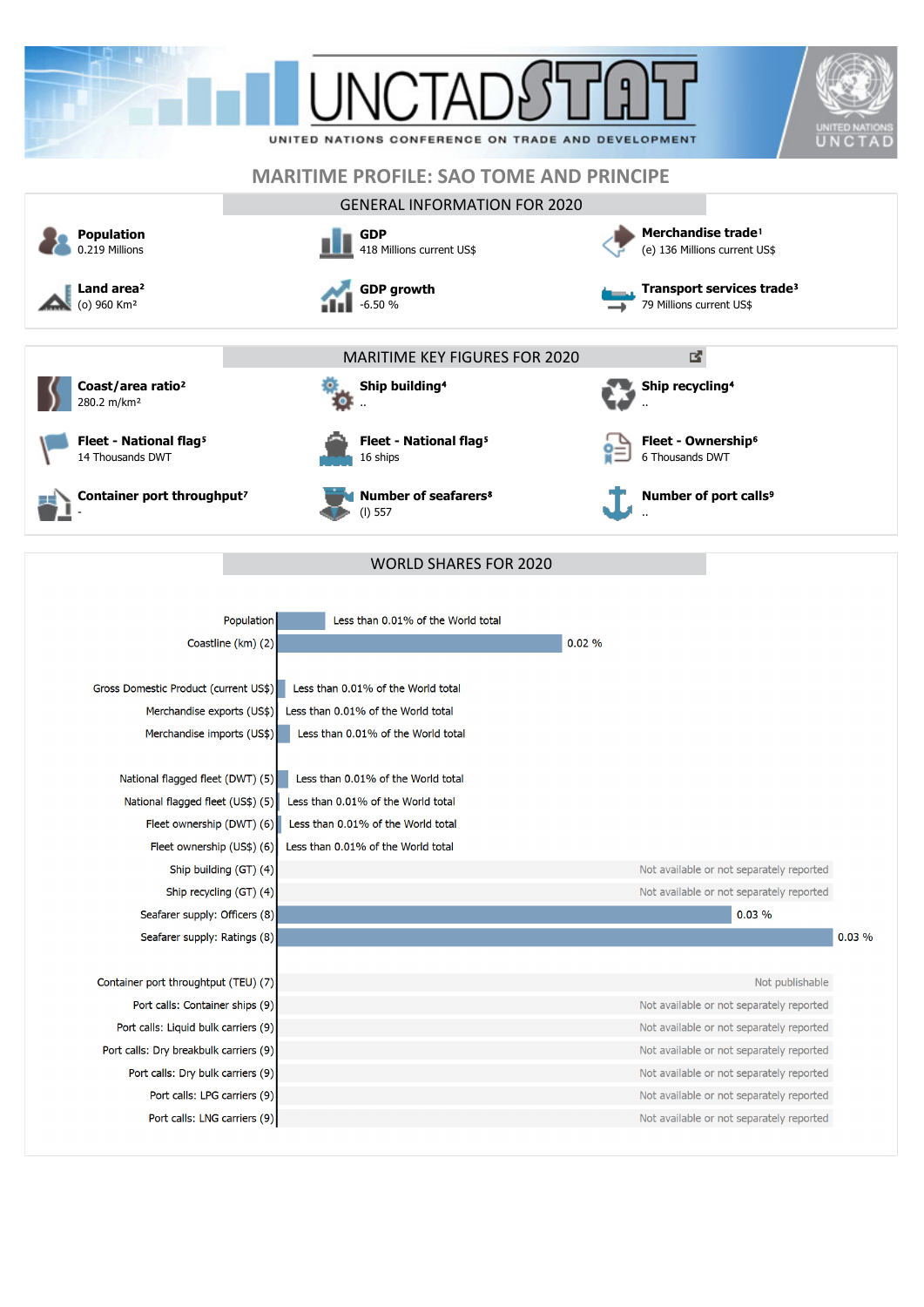|                                                                             | UNITED NATIONS CONFERENCE ON TRADE AND DEVELOPMENT  | UNITED NATION<br>UNCTAD                                                              |
|-----------------------------------------------------------------------------|-----------------------------------------------------|--------------------------------------------------------------------------------------|
|                                                                             |                                                     |                                                                                      |
|                                                                             | <b>MARITIME PROFILE: SAO TOME AND PRINCIPE</b>      |                                                                                      |
|                                                                             | <b>GENERAL INFORMATION FOR 2020</b>                 |                                                                                      |
| <b>Population</b><br>0.219 Millions                                         | <b>GDP</b><br>418 Millions current US\$             | Merchandise trade <sup>1</sup><br>(e) 136 Millions current US\$                      |
| Land area <sup>2</sup><br>(o) 960 Km <sup>2</sup>                           | <b>GDP growth</b><br>$-6.50%$                       | Transport services trade <sup>3</sup><br>79 Millions current US\$                    |
|                                                                             | <b>MARITIME KEY FIGURES FOR 2020</b>                | 凶                                                                                    |
| Coast/area ratio <sup>2</sup><br>280.2 m/km <sup>2</sup>                    | Ship building <sup>4</sup>                          | Ship recycling <sup>4</sup>                                                          |
| Fleet - National flag <sup>5</sup><br>14 Thousands DWT                      | Fleet - National flag <sup>5</sup><br>16 ships      | Fleet - Ownership <sup>6</sup><br>6 Thousands DWT                                    |
| Container port throughput <sup>7</sup>                                      | <b>Number of seafarers<sup>8</sup></b><br>$(I)$ 557 | Number of port calls <sup>9</sup>                                                    |
|                                                                             | <b>WORLD SHARES FOR 2020</b>                        |                                                                                      |
|                                                                             |                                                     |                                                                                      |
| Coastline (km) (2)                                                          | Population<br>Less than 0.01% of the World total    | 0.02%                                                                                |
| Gross Domestic Product (current US\$)                                       | Less than 0.01% of the World total                  |                                                                                      |
| Merchandise exports (US\$)                                                  | Less than 0.01% of the World total                  |                                                                                      |
| Merchandise imports (US\$)                                                  | Less than 0.01% of the World total                  |                                                                                      |
| National flagged fleet (DWT) (5)                                            | Less than 0.01% of the World total                  |                                                                                      |
| National flagged fleet (US\$) (5)                                           | Less than 0.01% of the World total                  |                                                                                      |
| Fleet ownership (DWT) (6)                                                   | Less than 0.01% of the World total                  |                                                                                      |
| Fleet ownership (US\$) (6)                                                  | Less than 0.01% of the World total                  |                                                                                      |
| Ship building (GT) (4)                                                      |                                                     | Not available or not separately reported                                             |
| Ship recycling (GT) (4)                                                     |                                                     | Not available or not separately reported                                             |
| Seafarer supply: Officers (8)                                               |                                                     | 0.03%                                                                                |
| Seafarer supply: Ratings (8)                                                |                                                     | 0.03%                                                                                |
|                                                                             |                                                     |                                                                                      |
| Container port throughtput (TEU) (7)                                        |                                                     | Not publishable                                                                      |
| Port calls: Container ships (9)                                             |                                                     | Not available or not separately reported                                             |
| Port calls: Liquid bulk carriers (9)                                        |                                                     | Not available or not separately reported                                             |
| Port calls: Dry breakbulk carriers (9)<br>Port calls: Dry bulk carriers (9) |                                                     | Not available or not separately reported<br>Not available or not separately reported |
| Port calls: LPG carriers (9)                                                |                                                     | Not available or not separately reported                                             |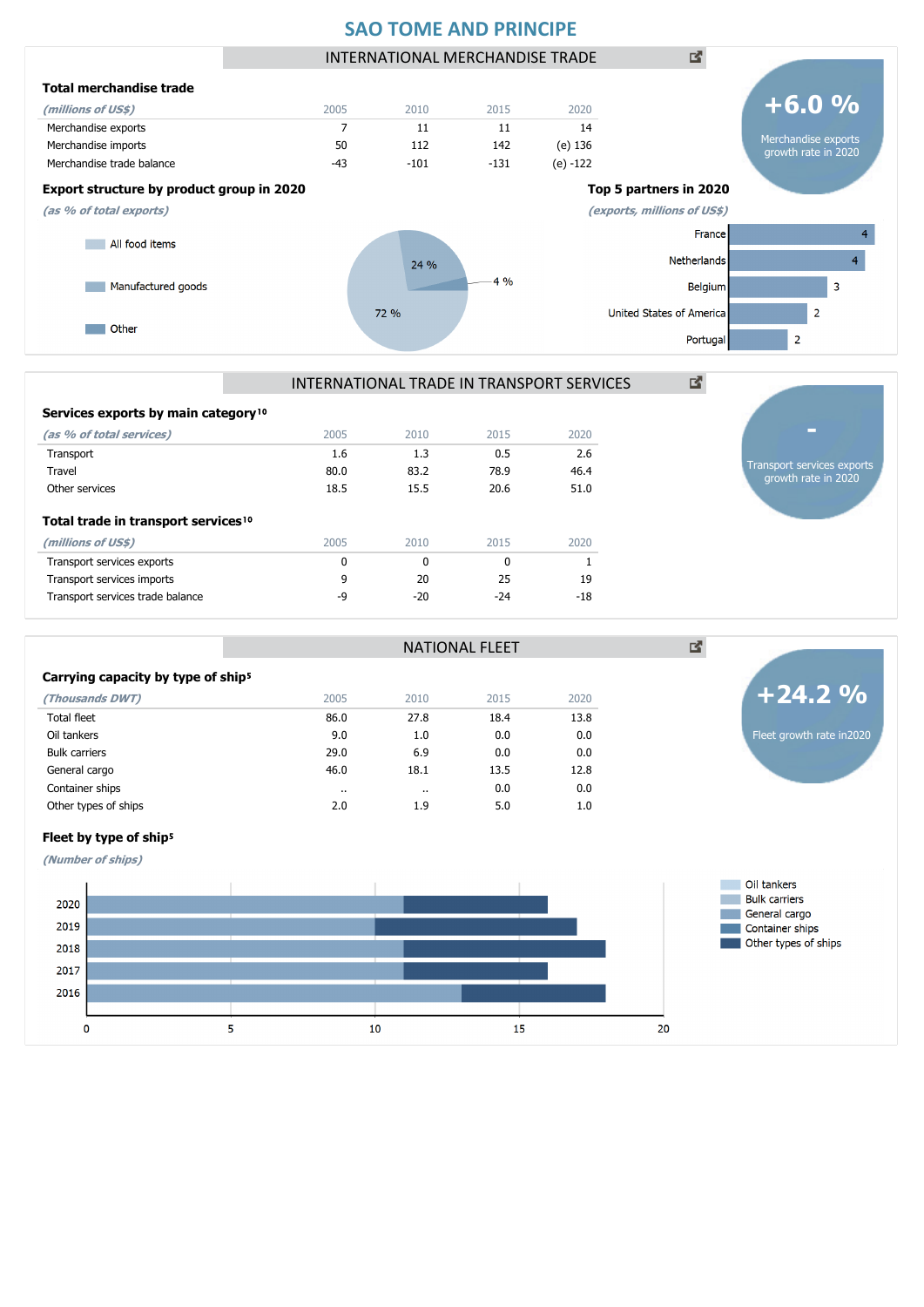## **SAO TOME AND PRINCIPE**



INTERNATIONAL TRADE IN TRANSPORT SERVICES

72 %

NATIONAL FLEET

|  |  | Services exports by main category <sup>10</sup> |
|--|--|-------------------------------------------------|
|  |  |                                                 |

**Other** 

| (as % of total services)                        | 2005 | 2010  | 2015  | 2020  |
|-------------------------------------------------|------|-------|-------|-------|
| Transport                                       | 1.6  | 1.3   | 0.5   | 2.6   |
| Travel                                          | 80.0 | 83.2  | 78.9  | 46.4  |
| Other services                                  | 18.5 | 15.5  | 20.6  | 51.0  |
| Total trade in transport services <sup>10</sup> |      |       |       |       |
| (millions of US\$)                              | 2005 | 2010  | 2015  | 2020  |
| Transport services exports                      | 0    | 0     | 0     |       |
| Transport services imports                      | 9    | 20    | 25    | 19    |
| Transport services trade balance                | -9   | $-20$ | $-24$ | $-18$ |
|                                                 |      |       |       |       |

#### Carrying capacity by type of ship<sup>5</sup>

| (Thousands DWT)      | 2005      | 2010      | 2015 | 2020 |
|----------------------|-----------|-----------|------|------|
| Total fleet          | 86.0      | 27.8      | 18.4 | 13.8 |
| Oil tankers          | 9.0       | 1.0       | 0.0  | 0.0  |
| <b>Bulk carriers</b> | 29.0      | 6.9       | 0.0  | 0.0  |
| General cargo        | 46.0      | 18.1      | 13.5 | 12.8 |
| Container ships      | $\cdot$ . | $\cdot$ . | 0.0  | 0.0  |
| Other types of ships | 2.0       | 1.9       | 5.0  | 1.0  |
|                      |           |           |      |      |



Transport services exports growth rate in 2020

 $\overline{2}$ 

 $\overline{2}$ 

United States of America

Portuga

國

### Fleet by type of ship<sup>5</sup>

**(Number of ships)**

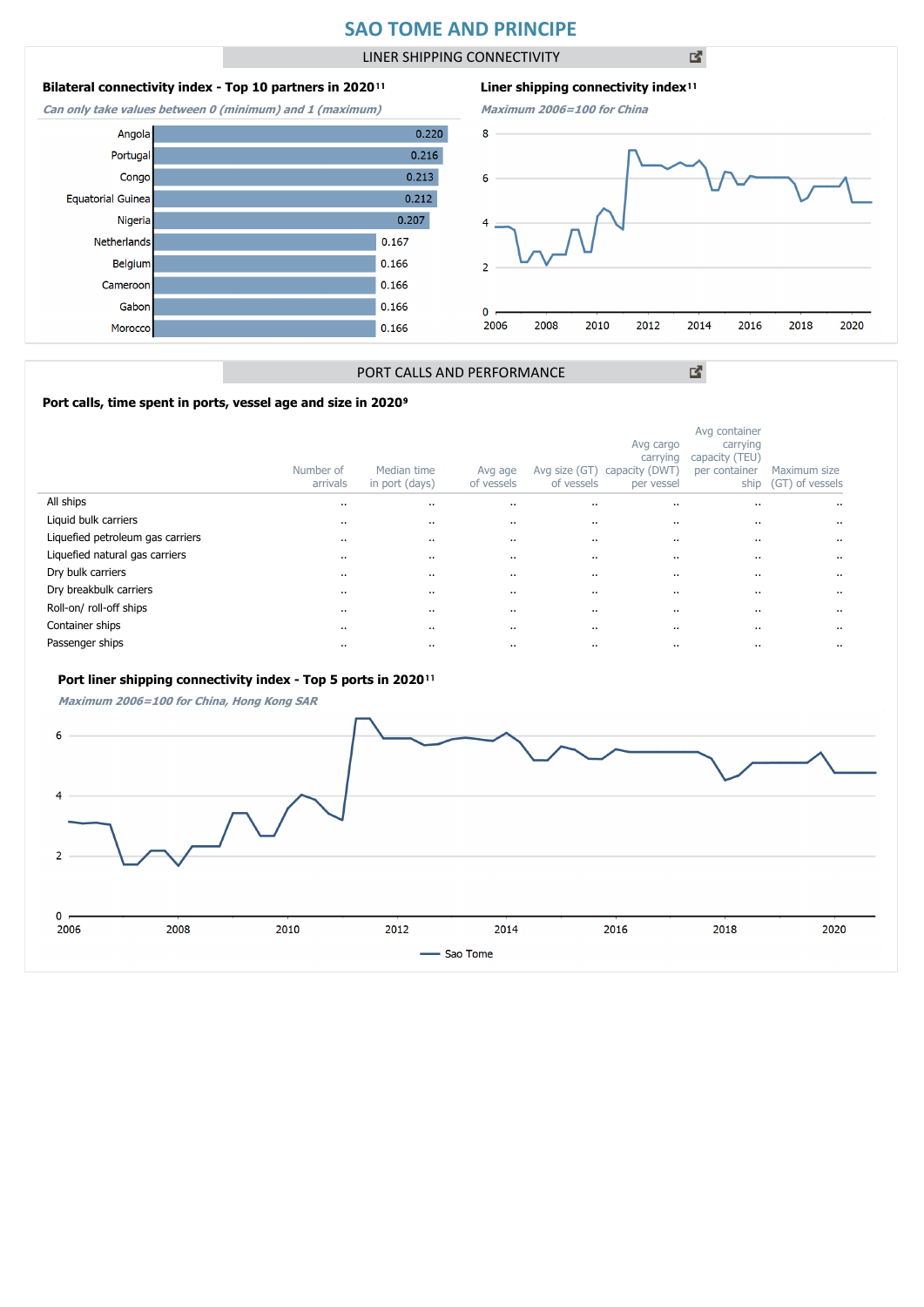# **SAO TOME AND PRINCIPE**

LINER SHIPPING CONNECTIVITY

凶

## **Bilateral connectivity index - Top 10 partners in 2020**<sup>11</sup>

**Can only take values between 0 (minimum) and 1 (maximum)**



 $0.220$ Angola  $0.216$ Portuga  $0.213$ Congo  $0.212$ **Equatorial Guinea**  $0.207$ Nigeria  $0.167$ Netherlands  $0.166$ Belgium Cameroor  $0.166$ Gabor 0.166 Morocco  $0.166$ 



図

## PORT CALLS AND PERFORMANCE

### Port calls, time spent in ports, vessel age and size in 2020<sup>9</sup>

|                                  | Number of<br>arrivals | Median time<br>in port (days) | Avg age<br>of vessels | Avg size (GT)<br>of vessels | Avg cargo<br>carrying<br>capacity (DWT<br>per vessel | Avg container<br>carrying<br>capacity (TEU)<br>per container<br>ship | Maximum size<br>(GT) of vessels |
|----------------------------------|-----------------------|-------------------------------|-----------------------|-----------------------------|------------------------------------------------------|----------------------------------------------------------------------|---------------------------------|
| All ships                        | $\cdots$              |                               |                       | $\cdots$                    |                                                      |                                                                      |                                 |
| Liquid bulk carriers             | $\cdots$              |                               | $\cdots$              |                             |                                                      |                                                                      |                                 |
| Liquefied petroleum gas carriers | $\cdots$              |                               |                       | $\cdot$ .                   |                                                      |                                                                      |                                 |
| Liquefied natural gas carriers   | $\cdots$              |                               |                       | $\cdots$                    |                                                      |                                                                      |                                 |
| Dry bulk carriers                | $\cdots$              |                               | $\cdots$              |                             |                                                      | $\cdots$                                                             | $\cdot$ .                       |
| Dry breakbulk carriers           | $\cdots$              |                               | $\cdots$              |                             |                                                      |                                                                      | $\cdot$                         |
| Roll-on/roll-off ships           | $\cdots$              |                               | $\cdots$              |                             |                                                      |                                                                      | $\cdot$                         |
| Container ships                  | $\cdots$              |                               | $\cdot$               | $\cdots$                    |                                                      | $\cdot$ .                                                            |                                 |
| Passenger ships                  | $\cdots$              |                               |                       | $\cdots$                    |                                                      | $\cdots$                                                             |                                 |

#### Port liner shipping connectivity index - Top 5 ports in 2020<sup>11</sup>

**Maximum 2006=100 for China, Hong Kong SAR**